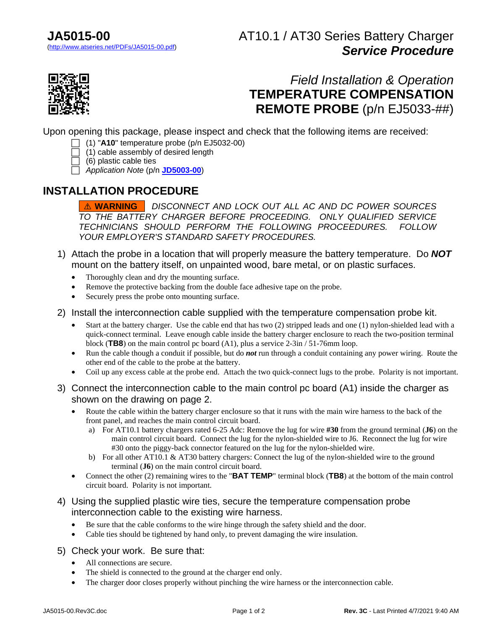# AT10.1 / AT30 Series Battery Charger *Service Procedure*



# *Field Installation & Operation* **TEMPERATURE COMPENSATION REMOTE PROBE** (p/n EJ5033-##)

Upon opening this package, please inspect and check that the following items are received:

- (1) "**A10**" temperature probe (p/n EJ5032-00)
- (1) cable assembly of desired length
- $\Box$  (6) plastic cable ties
- *Application Note* (p/n **[JD5003-00](http://www.atseries.net/PDFs/JD5003-00.pdf)**)

### **INSTALLATION PROCEDURE**

! **WARNING** *DISCONNECT AND LOCK OUT ALL AC AND DC POWER SOURCES TO THE BATTERY CHARGER BEFORE PROCEEDING. ONLY QUALIFIED SERVICE TECHNICIANS SHOULD PERFORM THE FOLLOWING PROCEEDURES. FOLLOW YOUR EMPLOYER'S STANDARD SAFETY PROCEDURES.*

- 1) Attach the probe in a location that will properly measure the battery temperature. Do *NOT* mount on the battery itself, on unpainted wood, bare metal, or on plastic surfaces.
	- Thoroughly clean and dry the mounting surface.
	- Remove the protective backing from the double face adhesive tape on the probe.
	- Securely press the probe onto mounting surface.
- 2) Install the interconnection cable supplied with the temperature compensation probe kit.
	- Start at the battery charger. Use the cable end that has two (2) stripped leads and one (1) nylon-shielded lead with a quick-connect terminal. Leave enough cable inside the battery charger enclosure to reach the two-position terminal block (**TB8**) on the main control pc board (A1), plus a service 2-3in / 51-76mm loop.
	- Run the cable though a conduit if possible, but do *not* run through a conduit containing any power wiring. Route the other end of the cable to the probe at the battery.
	- Coil up any excess cable at the probe end. Attach the two quick-connect lugs to the probe. Polarity is not important.
- 3) Connect the interconnection cable to the main control pc board (A1) inside the charger as shown on the drawing on page 2.
	- Route the cable within the battery charger enclosure so that it runs with the main wire harness to the back of the front panel, and reaches the main control circuit board.
		- a) For AT10.1 battery chargers rated 6-25 Adc: Remove the lug for wire **#30** from the ground terminal (**J6**) on the main control circuit board. Connect the lug for the nylon-shielded wire to J6. Reconnect the lug for wire #30 onto the piggy-back connector featured on the lug for the nylon-shielded wire.
		- b) For all other AT10.1 & AT30 battery chargers: Connect the lug of the nylon-shielded wire to the ground terminal (**J6**) on the main control circuit board.
	- Connect the other (2) remaining wires to the "**BAT TEMP**" terminal block (**TB8**) at the bottom of the main control circuit board. Polarity is not important.
- 4) Using the supplied plastic wire ties, secure the temperature compensation probe interconnection cable to the existing wire harness.
	- Be sure that the cable conforms to the wire hinge through the safety shield and the door.
	- Cable ties should be tightened by hand only, to prevent damaging the wire insulation.
- 5) Check your work. Be sure that:
	- All connections are secure.
	- The shield is connected to the ground at the charger end only.
	- The charger door closes properly without pinching the wire harness or the interconnection cable.